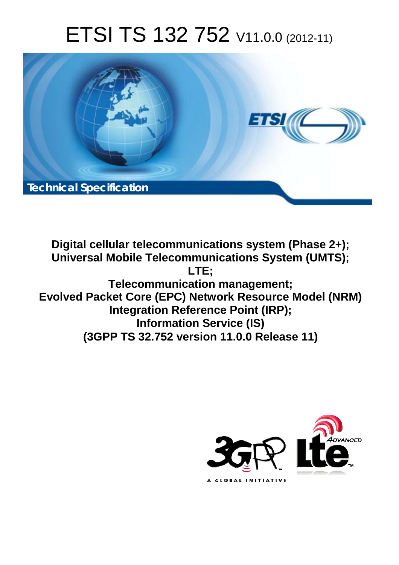# ETSI TS 132 752 V11.0.0 (2012-11)



**Digital cellular telecommunications system (Phase 2+); Universal Mobile Telecommunications System (UMTS); LTE; Telecommunication management; Evolved Packet Core (EPC) Network Resource Model (NRM) Integration Reference Point (IRP); Information Service (IS) (3GPP TS 32.752 version 11.0.0 Release 11)** 

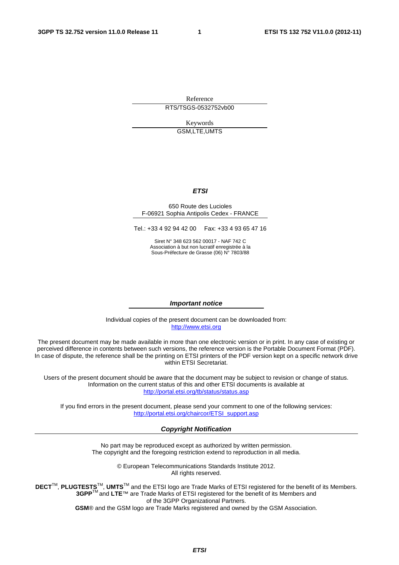Reference RTS/TSGS-0532752vb00

> Keywords GSM,LTE,UMTS

#### *ETSI*

#### 650 Route des Lucioles F-06921 Sophia Antipolis Cedex - FRANCE

Tel.: +33 4 92 94 42 00 Fax: +33 4 93 65 47 16

Siret N° 348 623 562 00017 - NAF 742 C Association à but non lucratif enregistrée à la Sous-Préfecture de Grasse (06) N° 7803/88

#### *Important notice*

Individual copies of the present document can be downloaded from: [http://www.etsi.org](http://www.etsi.org/)

The present document may be made available in more than one electronic version or in print. In any case of existing or perceived difference in contents between such versions, the reference version is the Portable Document Format (PDF). In case of dispute, the reference shall be the printing on ETSI printers of the PDF version kept on a specific network drive within ETSI Secretariat.

Users of the present document should be aware that the document may be subject to revision or change of status. Information on the current status of this and other ETSI documents is available at <http://portal.etsi.org/tb/status/status.asp>

If you find errors in the present document, please send your comment to one of the following services: [http://portal.etsi.org/chaircor/ETSI\\_support.asp](http://portal.etsi.org/chaircor/ETSI_support.asp)

#### *Copyright Notification*

No part may be reproduced except as authorized by written permission. The copyright and the foregoing restriction extend to reproduction in all media.

> © European Telecommunications Standards Institute 2012. All rights reserved.

DECT<sup>™</sup>, PLUGTESTS<sup>™</sup>, UMTS<sup>™</sup> and the ETSI logo are Trade Marks of ETSI registered for the benefit of its Members. **3GPP**TM and **LTE**™ are Trade Marks of ETSI registered for the benefit of its Members and of the 3GPP Organizational Partners.

**GSM**® and the GSM logo are Trade Marks registered and owned by the GSM Association.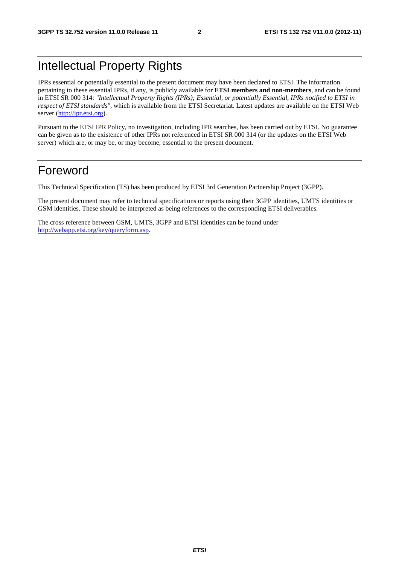### Intellectual Property Rights

IPRs essential or potentially essential to the present document may have been declared to ETSI. The information pertaining to these essential IPRs, if any, is publicly available for **ETSI members and non-members**, and can be found in ETSI SR 000 314: *"Intellectual Property Rights (IPRs); Essential, or potentially Essential, IPRs notified to ETSI in respect of ETSI standards"*, which is available from the ETSI Secretariat. Latest updates are available on the ETSI Web server [\(http://ipr.etsi.org](http://webapp.etsi.org/IPR/home.asp)).

Pursuant to the ETSI IPR Policy, no investigation, including IPR searches, has been carried out by ETSI. No guarantee can be given as to the existence of other IPRs not referenced in ETSI SR 000 314 (or the updates on the ETSI Web server) which are, or may be, or may become, essential to the present document.

### Foreword

This Technical Specification (TS) has been produced by ETSI 3rd Generation Partnership Project (3GPP).

The present document may refer to technical specifications or reports using their 3GPP identities, UMTS identities or GSM identities. These should be interpreted as being references to the corresponding ETSI deliverables.

The cross reference between GSM, UMTS, 3GPP and ETSI identities can be found under [http://webapp.etsi.org/key/queryform.asp.](http://webapp.etsi.org/key/queryform.asp)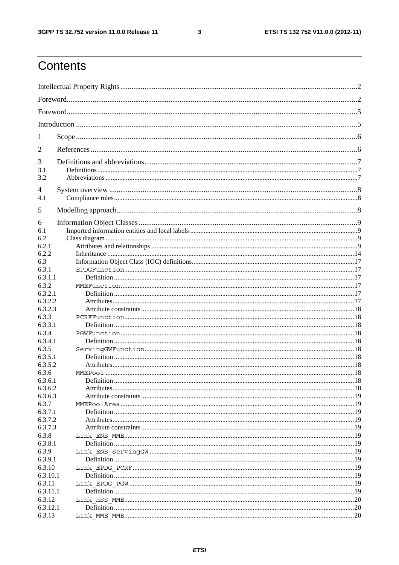$\mathbf{3}$ 

### Contents

| 1<br>2<br>3<br>3.1<br>3.2<br>4<br>4.1<br>5<br>6<br>6.1<br>6.2<br>6.2.1<br>6.2.2<br>6.3<br>6.3.1<br>6.3.1.1<br>6.3.2<br>6.3.2.1<br>6.3.2.2<br>6.3.2.3<br>6.3.3<br>6.3.3.1<br>6.3.4<br>6.3.4.1<br>6.3.5<br>6.3.5.1<br>6.3.5.2<br>6.3.6<br>6.3.6.1<br>6.3.6.2<br>6.3.6.3<br>6.3.7<br>6.3.7.1<br>6.3.7.2<br>6.3.7.3<br>6.3.8<br>6.3.8.1<br>6.3.9<br>6.3.9.1<br>6.3.10<br>6.3.10.1<br>6.3.11<br>6.3.11.1<br>6.3.12<br>6.3.12.1<br>6.3.13 |  |  |
|-------------------------------------------------------------------------------------------------------------------------------------------------------------------------------------------------------------------------------------------------------------------------------------------------------------------------------------------------------------------------------------------------------------------------------------|--|--|
|                                                                                                                                                                                                                                                                                                                                                                                                                                     |  |  |
|                                                                                                                                                                                                                                                                                                                                                                                                                                     |  |  |
|                                                                                                                                                                                                                                                                                                                                                                                                                                     |  |  |
|                                                                                                                                                                                                                                                                                                                                                                                                                                     |  |  |
|                                                                                                                                                                                                                                                                                                                                                                                                                                     |  |  |
|                                                                                                                                                                                                                                                                                                                                                                                                                                     |  |  |
|                                                                                                                                                                                                                                                                                                                                                                                                                                     |  |  |
|                                                                                                                                                                                                                                                                                                                                                                                                                                     |  |  |
|                                                                                                                                                                                                                                                                                                                                                                                                                                     |  |  |
|                                                                                                                                                                                                                                                                                                                                                                                                                                     |  |  |
|                                                                                                                                                                                                                                                                                                                                                                                                                                     |  |  |
|                                                                                                                                                                                                                                                                                                                                                                                                                                     |  |  |
|                                                                                                                                                                                                                                                                                                                                                                                                                                     |  |  |
|                                                                                                                                                                                                                                                                                                                                                                                                                                     |  |  |
|                                                                                                                                                                                                                                                                                                                                                                                                                                     |  |  |
|                                                                                                                                                                                                                                                                                                                                                                                                                                     |  |  |
|                                                                                                                                                                                                                                                                                                                                                                                                                                     |  |  |
|                                                                                                                                                                                                                                                                                                                                                                                                                                     |  |  |
|                                                                                                                                                                                                                                                                                                                                                                                                                                     |  |  |
|                                                                                                                                                                                                                                                                                                                                                                                                                                     |  |  |
|                                                                                                                                                                                                                                                                                                                                                                                                                                     |  |  |
|                                                                                                                                                                                                                                                                                                                                                                                                                                     |  |  |
|                                                                                                                                                                                                                                                                                                                                                                                                                                     |  |  |
|                                                                                                                                                                                                                                                                                                                                                                                                                                     |  |  |
|                                                                                                                                                                                                                                                                                                                                                                                                                                     |  |  |
|                                                                                                                                                                                                                                                                                                                                                                                                                                     |  |  |
|                                                                                                                                                                                                                                                                                                                                                                                                                                     |  |  |
|                                                                                                                                                                                                                                                                                                                                                                                                                                     |  |  |
|                                                                                                                                                                                                                                                                                                                                                                                                                                     |  |  |
|                                                                                                                                                                                                                                                                                                                                                                                                                                     |  |  |
|                                                                                                                                                                                                                                                                                                                                                                                                                                     |  |  |
|                                                                                                                                                                                                                                                                                                                                                                                                                                     |  |  |
|                                                                                                                                                                                                                                                                                                                                                                                                                                     |  |  |
|                                                                                                                                                                                                                                                                                                                                                                                                                                     |  |  |
|                                                                                                                                                                                                                                                                                                                                                                                                                                     |  |  |
|                                                                                                                                                                                                                                                                                                                                                                                                                                     |  |  |
|                                                                                                                                                                                                                                                                                                                                                                                                                                     |  |  |
|                                                                                                                                                                                                                                                                                                                                                                                                                                     |  |  |
|                                                                                                                                                                                                                                                                                                                                                                                                                                     |  |  |
|                                                                                                                                                                                                                                                                                                                                                                                                                                     |  |  |
|                                                                                                                                                                                                                                                                                                                                                                                                                                     |  |  |
|                                                                                                                                                                                                                                                                                                                                                                                                                                     |  |  |
|                                                                                                                                                                                                                                                                                                                                                                                                                                     |  |  |
|                                                                                                                                                                                                                                                                                                                                                                                                                                     |  |  |
|                                                                                                                                                                                                                                                                                                                                                                                                                                     |  |  |
|                                                                                                                                                                                                                                                                                                                                                                                                                                     |  |  |
|                                                                                                                                                                                                                                                                                                                                                                                                                                     |  |  |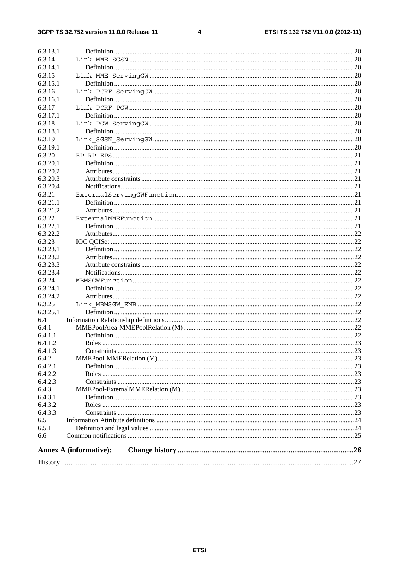#### $\overline{\mathbf{4}}$

|                    | <b>Annex A (informative):</b> |  |
|--------------------|-------------------------------|--|
|                    |                               |  |
| 6.6                |                               |  |
| 6.5.1              |                               |  |
| 6.5                |                               |  |
| 6.4.3.3            |                               |  |
| 6.4.3.2            |                               |  |
| 6.4.3.1            |                               |  |
| 6.4.3              |                               |  |
| 6.4.2.3            |                               |  |
| 6.4.2.2            |                               |  |
| 6.4.2.1            |                               |  |
| 6.4.2              |                               |  |
| 6.4.1.3            |                               |  |
| 6.4.1.2            |                               |  |
| 6.4.1.1            |                               |  |
| 6.4.1              |                               |  |
| 6.4                |                               |  |
| 6.3.25.1           |                               |  |
| 6.3.25             |                               |  |
| 6.3.24.2           |                               |  |
| 6.3.24.1           |                               |  |
| 6.3.24             |                               |  |
| 6.3.23.4           |                               |  |
| 6.3.23.3           |                               |  |
| 6.3.23.2           |                               |  |
| 6.3.23.1           |                               |  |
| 6.3.23             |                               |  |
| 6.3.22.2           |                               |  |
| 6.3.22.1           |                               |  |
| 6.3.22             |                               |  |
| 6.3.21.2           |                               |  |
| 6.3.21.1           |                               |  |
| 6.3.21             |                               |  |
| 6.3.20.4           |                               |  |
| 6.3.20.3           |                               |  |
| 6.3.20.2           |                               |  |
| 6.3.20.1           |                               |  |
| 6.3.20             |                               |  |
| 6.3.19.1           |                               |  |
|                    |                               |  |
| 6.3.18.1<br>6.3.19 |                               |  |
|                    |                               |  |
| 6.3.18             |                               |  |
| 6.3.17.1           |                               |  |
| 6.3.17             |                               |  |
| 6.3.16.1           |                               |  |
| 6.3.16             |                               |  |
| 6.3.15.1           |                               |  |
| 6.3.15             |                               |  |
| 6.3.14.1           |                               |  |
| 6.3.14             |                               |  |
| 6.3.13.1           |                               |  |
|                    |                               |  |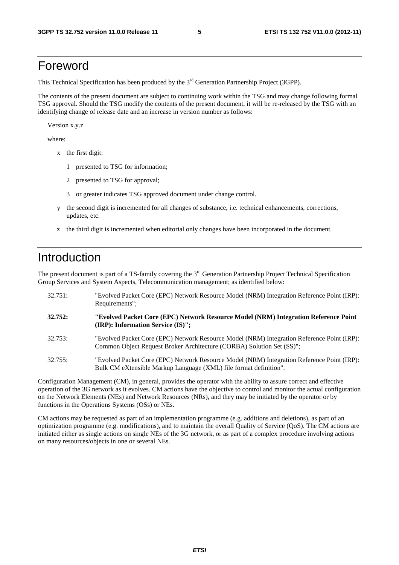### Foreword

This Technical Specification has been produced by the 3<sup>rd</sup> Generation Partnership Project (3GPP).

The contents of the present document are subject to continuing work within the TSG and may change following formal TSG approval. Should the TSG modify the contents of the present document, it will be re-released by the TSG with an identifying change of release date and an increase in version number as follows:

Version x.y.z

where:

- x the first digit:
	- 1 presented to TSG for information;
	- 2 presented to TSG for approval;
	- 3 or greater indicates TSG approved document under change control.
- y the second digit is incremented for all changes of substance, i.e. technical enhancements, corrections, updates, etc.
- z the third digit is incremented when editorial only changes have been incorporated in the document.

### Introduction

The present document is part of a TS-family covering the  $3<sup>rd</sup>$  Generation Partnership Project Technical Specification Group Services and System Aspects, Telecommunication management; as identified below:

| 32.751: | "Evolved Packet Core (EPC) Network Resource Model (NRM) Integration Reference Point (IRP):<br>Requirements";                                                        |
|---------|---------------------------------------------------------------------------------------------------------------------------------------------------------------------|
| 32.752: | "Evolved Packet Core (EPC) Network Resource Model (NRM) Integration Reference Point<br>(IRP): Information Service (IS)";                                            |
| 32.753: | "Evolved Packet Core (EPC) Network Resource Model (NRM) Integration Reference Point (IRP):<br>Common Object Request Broker Architecture (CORBA) Solution Set (SS)"; |
| 32.755: | "Evolved Packet Core (EPC) Network Resource Model (NRM) Integration Reference Point (IRP):<br>Bulk CM eXtensible Markup Language (XML) file format definition".     |

Configuration Management (CM), in general, provides the operator with the ability to assure correct and effective operation of the 3G network as it evolves. CM actions have the objective to control and monitor the actual configuration on the Network Elements (NEs) and Network Resources (NRs), and they may be initiated by the operator or by functions in the Operations Systems (OSs) or NEs.

CM actions may be requested as part of an implementation programme (e.g. additions and deletions), as part of an optimization programme (e.g. modifications), and to maintain the overall Quality of Service (QoS). The CM actions are initiated either as single actions on single NEs of the 3G network, or as part of a complex procedure involving actions on many resources/objects in one or several NEs.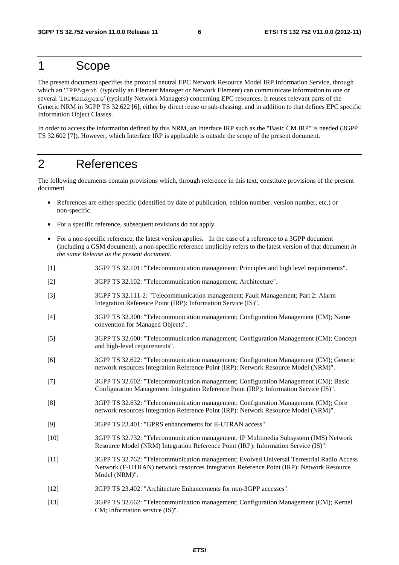### 1 Scope

The present document specifies the protocol neutral EPC Network Resource Model IRP Information Service, through which an 'IRPAgent' (typically an Element Manager or Network Element) can communicate information to one or several 'IRPManagers' (typically Network Managers) concerning EPC resources. It reuses relevant parts of the Generic NRM in 3GPP TS 32.622 [6], either by direct reuse or sub-classing, and in addition to that defines EPC specific Information Object Classes.

In order to access the information defined by this NRM, an Interface IRP such as the "Basic CM IRP" is needed (3GPP TS 32.602 [7]). However, which Interface IRP is applicable is outside the scope of the present document.

### 2 References

The following documents contain provisions which, through reference in this text, constitute provisions of the present document.

- References are either specific (identified by date of publication, edition number, version number, etc.) or non-specific.
- For a specific reference, subsequent revisions do not apply.
- For a non-specific reference, the latest version applies. In the case of a reference to a 3GPP document (including a GSM document), a non-specific reference implicitly refers to the latest version of that document *in the same Release as the present document*.
- [1] 3GPP TS 32.101: "Telecommunication management; Principles and high level requirements".
- [2] 3GPP TS 32.102: "Telecommunication management; Architecture".
- [3] 3GPP TS 32.111-2: "Telecommunication management; Fault Management; Part 2: Alarm Integration Reference Point (IRP): Information Service (IS)".
- [4] 3GPP TS 32.300: "Telecommunication management; Configuration Management (CM); Name convention for Managed Objects".
- [5] 3GPP TS 32.600: "Telecommunication management; Configuration Management (CM); Concept and high-level requirements".
- [6] 3GPP TS 32.622: "Telecommunication management; Configuration Management (CM); Generic network resources Integration Reference Point (IRP): Network Resource Model (NRM)".
- [7] 3GPP TS 32.602: "Telecommunication management; Configuration Management (CM); Basic Configuration Management Integration Reference Point (IRP): Information Service (IS)".
- [8] 3GPP TS 32.632: "Telecommunication management; Configuration Management (CM); Core network resources Integration Reference Point (IRP): Network Resource Model (NRM)".
- [9] 3GPP TS 23.401: "GPRS enhancements for E-UTRAN access".
- [10] 3GPP TS 32.732: "Telecommunication management; IP Multimedia Subsystem (IMS) Network Resource Model (NRM) Integration Reference Point (IRP): Information Service (IS)".
- [11] 3GPP TS 32.762: "Telecommunication management; Evolved Universal Terrestrial Radio Access Network (E-UTRAN) network resources Integration Reference Point (IRP): Network Resource Model (NRM)".
- [12] 3GPP TS 23.402: "Architecture Enhancements for non-3GPP accesses".
- [13] 3GPP TS 32.662: "Telecommunication management; Configuration Management (CM); Kernel CM; Information service (IS)".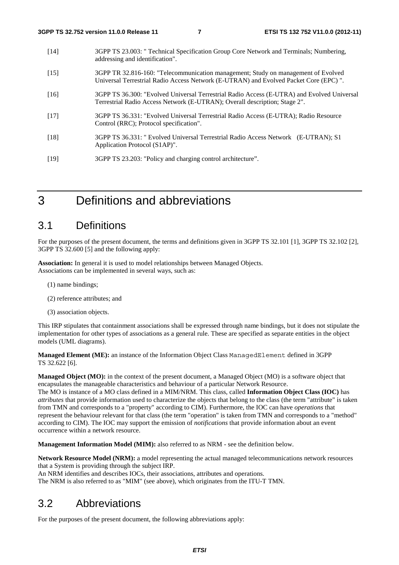- [14] 3GPP TS 23.003: " Technical Specification Group Core Network and Terminals; Numbering, addressing and identification".
- [15] 3GPP TR 32.816-160: "Telecommunication management; Study on management of Evolved Universal Terrestrial Radio Access Network (E-UTRAN) and Evolved Packet Core (EPC) ".
- [16] 3GPP TS 36.300: "Evolved Universal Terrestrial Radio Access (E-UTRA) and Evolved Universal Terrestrial Radio Access Network (E-UTRAN); Overall description; Stage 2".
- [17] 3GPP TS 36.331: "Evolved Universal Terrestrial Radio Access (E-UTRA); Radio Resource Control (RRC); Protocol specification".
- [18] 3GPP TS 36.331: " Evolved Universal Terrestrial Radio Access Network (E-UTRAN); S1 Application Protocol (S1AP)".
- [19] 3GPP TS 23.203: "Policy and charging control architecture".

### 3 Definitions and abbreviations

#### 3.1 Definitions

For the purposes of the present document, the terms and definitions given in 3GPP TS 32.101 [1], 3GPP TS 32.102 [2], 3GPP TS 32.600 [5] and the following apply:

**Association:** In general it is used to model relationships between Managed Objects. Associations can be implemented in several ways, such as:

- (1) name bindings;
- (2) reference attributes; and
- (3) association objects.

This IRP stipulates that containment associations shall be expressed through name bindings, but it does not stipulate the implementation for other types of associations as a general rule. These are specified as separate entities in the object models (UML diagrams).

**Managed Element (ME):** an instance of the Information Object Class ManagedElement defined in 3GPP TS 32.622 [6].

**Managed Object (MO):** in the context of the present document, a Managed Object (MO) is a software object that encapsulates the manageable characteristics and behaviour of a particular Network Resource.

The MO is instance of a MO class defined in a MIM/NRM. This class, called **Information Object Class (IOC)** has *attributes* that provide information used to characterize the objects that belong to the class (the term "attribute" is taken from TMN and corresponds to a "property" according to CIM). Furthermore, the IOC can have *operations* that represent the behaviour relevant for that class (the term "operation" is taken from TMN and corresponds to a "method" according to CIM). The IOC may support the emission of *notifications* that provide information about an event occurrence within a network resource.

**Management Information Model (MIM):** also referred to as NRM - see the definition below.

Network Resource Model (NRM): a model representing the actual managed telecommunications network resources that a System is providing through the subject IRP.

An NRM identifies and describes IOCs, their associations, attributes and operations. The NRM is also referred to as "MIM" (see above), which originates from the ITU-T TMN.

### 3.2 Abbreviations

For the purposes of the present document, the following abbreviations apply: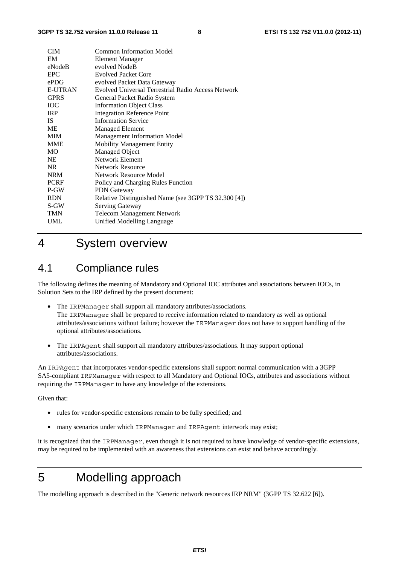| <b>CIM</b>  | <b>Common Information Model</b>                           |
|-------------|-----------------------------------------------------------|
| EM          | <b>Element Manager</b>                                    |
| eNodeB      | evolved NodeB                                             |
| <b>EPC</b>  | <b>Evolved Packet Core</b>                                |
| ePDG        | evolved Packet Data Gateway                               |
| E-UTRAN     | <b>Evolved Universal Terrestrial Radio Access Network</b> |
| <b>GPRS</b> | General Packet Radio System                               |
| <b>IOC</b>  | <b>Information Object Class</b>                           |
| <b>IRP</b>  | <b>Integration Reference Point</b>                        |
| IS.         | <b>Information Service</b>                                |
| ME          | <b>Managed Element</b>                                    |
| <b>MIM</b>  | <b>Management Information Model</b>                       |
| <b>MME</b>  | <b>Mobility Management Entity</b>                         |
| МO          | Managed Object                                            |
| <b>NE</b>   | Network Element                                           |
| <b>NR</b>   | <b>Network Resource</b>                                   |
| <b>NRM</b>  | Network Resource Model                                    |
| <b>PCRF</b> | Policy and Charging Rules Function                        |
| P-GW        | <b>PDN</b> Gateway                                        |
| <b>RDN</b>  | Relative Distinguished Name (see 3GPP TS 32.300 [4])      |
| S-GW        | Serving Gateway                                           |
| <b>TMN</b>  | <b>Telecom Management Network</b>                         |
| UML         | <b>Unified Modelling Language</b>                         |
|             |                                                           |

### 4 System overview

### 4.1 Compliance rules

The following defines the meaning of Mandatory and Optional IOC attributes and associations between IOCs, in Solution Sets to the IRP defined by the present document:

- The IRPManager shall support all mandatory attributes/associations. The IRPManager shall be prepared to receive information related to mandatory as well as optional attributes/associations without failure; however the IRPManager does not have to support handling of the optional attributes/associations.
- The IRPA gent shall support all mandatory attributes/associations. It may support optional attributes/associations.

An IRPAgent that incorporates vendor-specific extensions shall support normal communication with a 3GPP SA5-compliant IRPManager with respect to all Mandatory and Optional IOCs, attributes and associations without requiring the IRPManager to have any knowledge of the extensions.

Given that:

- rules for vendor-specific extensions remain to be fully specified; and
- many scenarios under which IRPManager and IRPAgent interwork may exist;

it is recognized that the IRPManager, even though it is not required to have knowledge of vendor-specific extensions, may be required to be implemented with an awareness that extensions can exist and behave accordingly.

### 5 Modelling approach

The modelling approach is described in the "Generic network resources IRP NRM" (3GPP TS 32.622 [6]).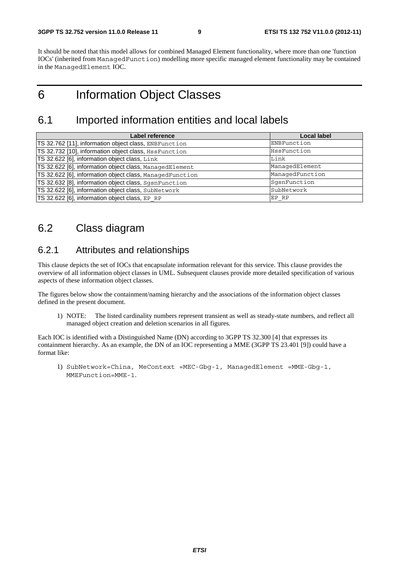It should be noted that this model allows for combined Managed Element functionality, where more than one 'function IOCs' (inherited from ManagedFunction) modelling more specific managed element functionality may be contained in the ManagedElement IOC.

### 6 Information Object Classes

### 6.1 Imported information entities and local labels

| Label reference                                          | <b>Local label</b> |
|----------------------------------------------------------|--------------------|
| TS 32.762 [11], information object class, ENBFunction    | ENBFunction        |
| TS 32.732 [10], information object class, HssFunction    | HssFunction        |
| TS 32.622 [6], information object class, Link            | Link               |
| TS 32.622 [6], information object class, ManagedElement  | ManagedElement     |
| TS 32.622 [6], information object class, ManagedFunction | ManagedFunction    |
| TS 32.632 [8], information object class, SgsnFunction    | SqsnFunction       |
| TS 32.622 [6], information object class, SubNetwork      | SubNetwork         |
| TS 32.622 [6], information object class, EP RP           | EP RP              |

### 6.2 Class diagram

#### 6.2.1 Attributes and relationships

This clause depicts the set of IOCs that encapsulate information relevant for this service. This clause provides the overview of all information object classes in UML. Subsequent clauses provide more detailed specification of various aspects of these information object classes.

The figures below show the containment/naming hierarchy and the associations of the information object classes defined in the present document.

1) NOTE: The listed cardinality numbers represent transient as well as steady-state numbers, and reflect all managed object creation and deletion scenarios in all figures.

Each IOC is identified with a Distinguished Name (DN) according to 3GPP TS 32.300 [4] that expresses its containment hierarchy. As an example, the DN of an IOC representing a MME (3GPP TS 23.401 [9]) could have a format like:

1) SubNetwork=China, MeContext =MEC-Gbg-1, ManagedElement =MME-Gbg-1, MMEFunction=MME-1.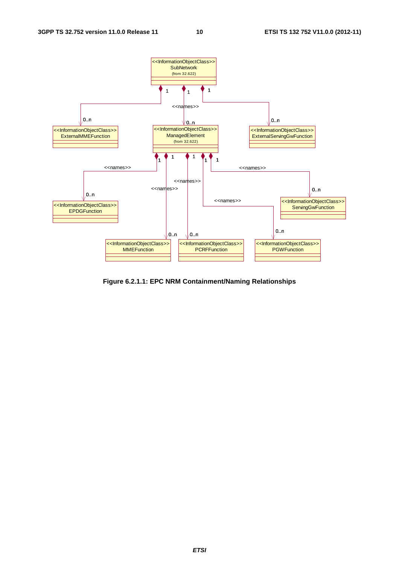

**Figure 6.2.1.1: EPC NRM Containment/Naming Relationships**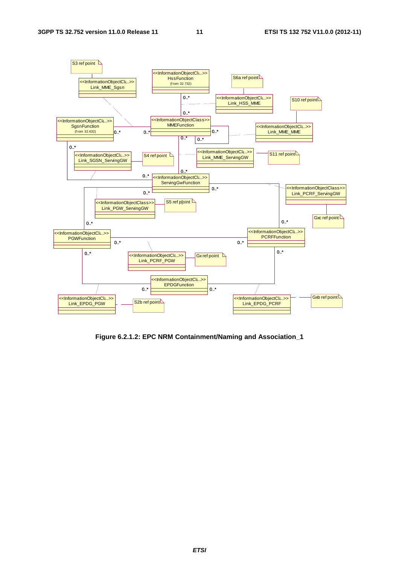

**Figure 6.2.1.2: EPC NRM Containment/Naming and Association\_1**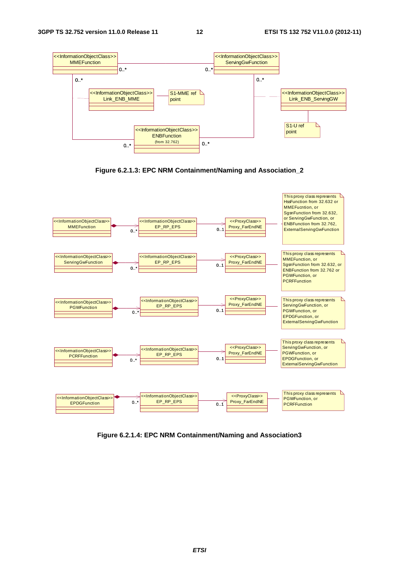





**Figure 6.2.1.4: EPC NRM Containment/Naming and Association3**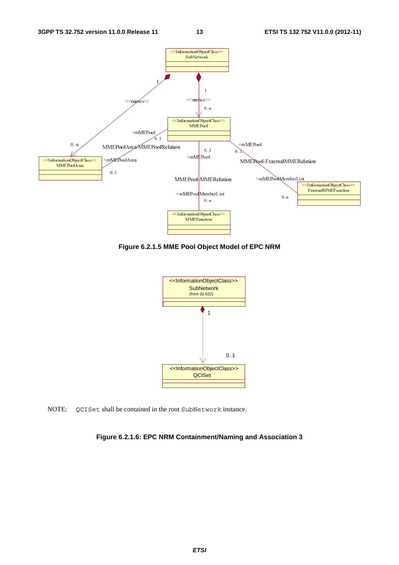

**Figure 6.2.1.5 MME Pool Object Model of EPC NRM** 



NOTE: QCISet shall be contained in the root SubNetwork instance.

#### **Figure 6.2.1.6: EPC NRM Containment/Naming and Association 3**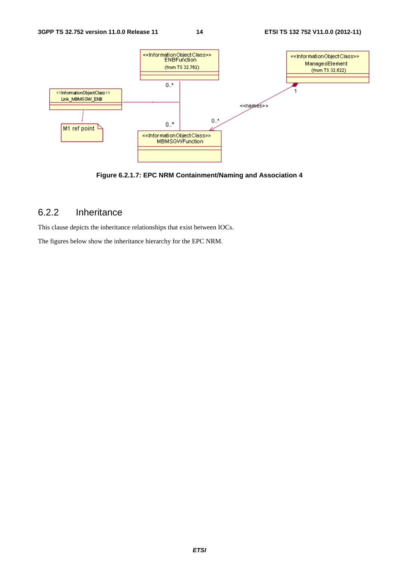

**Figure 6.2.1.7: EPC NRM Containment/Naming and Association 4** 

#### 6.2.2 Inheritance

This clause depicts the inheritance relationships that exist between IOCs.

The figures below show the inheritance hierarchy for the EPC NRM.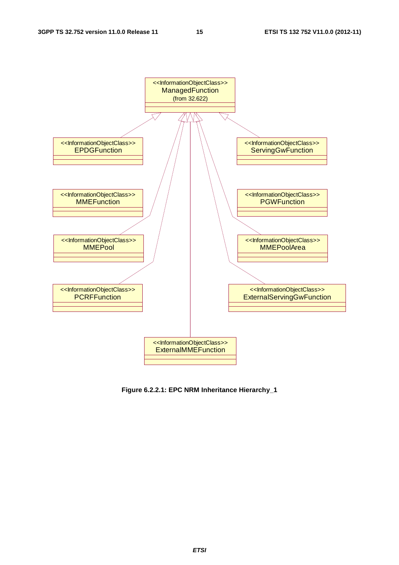

**Figure 6.2.2.1: EPC NRM Inheritance Hierarchy\_1**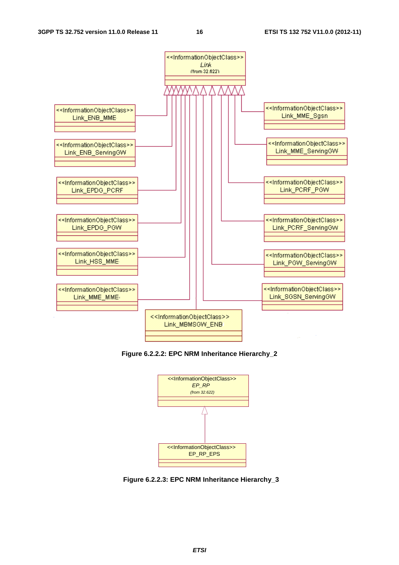

**Figure 6.2.2.2: EPC NRM Inheritance Hierarchy\_2** 



 **Figure 6.2.2.3: EPC NRM Inheritance Hierarchy\_3**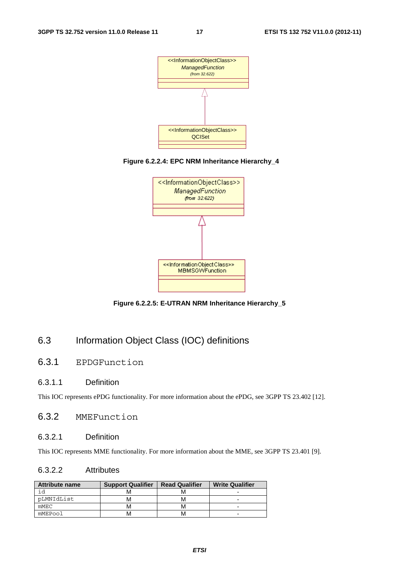

 **Figure 6.2.2.4: EPC NRM Inheritance Hierarchy\_4** 



**Figure 6.2.2.5: E-UTRAN NRM Inheritance Hierarchy\_5** 

### 6.3 Information Object Class (IOC) definitions

6.3.1 EPDGFunction

#### 6.3.1.1 Definition

This IOC represents ePDG functionality. For more information about the ePDG, see 3GPP TS 23.402 [12].

6.3.2 MMEFunction

#### 6.3.2.1 Definition

This IOC represents MME functionality. For more information about the MME, see 3GPP TS 23.401 [9].

#### 6.3.2.2 Attributes

| <b>Attribute name</b> | <b>Support Qualifier</b> | <b>Read Qualifier</b> | <b>Write Qualifier</b> |
|-----------------------|--------------------------|-----------------------|------------------------|
| ıd                    |                          |                       |                        |
| pLMNIdList            | М                        |                       |                        |
| mMEC                  | м                        |                       |                        |
| mMEPool               | м                        |                       |                        |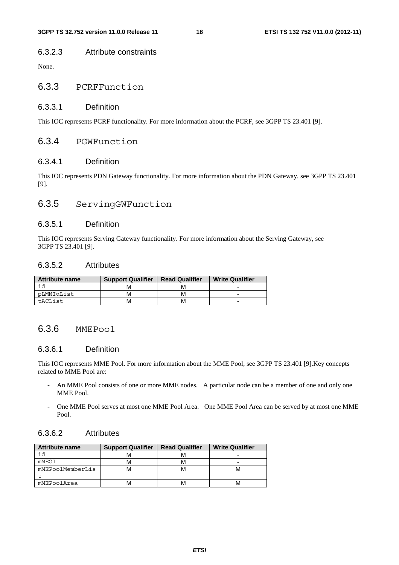#### 6.3.2.3 Attribute constraints

None.

#### 6.3.3 PCRFFunction

#### 6.3.3.1 Definition

This IOC represents PCRF functionality. For more information about the PCRF, see 3GPP TS 23.401 [9].

#### 6.3.4 PGWFunction

#### 6.3.4.1 Definition

This IOC represents PDN Gateway functionality. For more information about the PDN Gateway, see 3GPP TS 23.401 [9].

#### 6.3.5 ServingGWFunction

#### 6.3.5.1 Definition

This IOC represents Serving Gateway functionality. For more information about the Serving Gateway, see 3GPP TS 23.401 [9].

#### 6.3.5.2 Attributes

| <b>Attribute name</b> | <b>Support Qualifier</b> | <b>Read Qualifier</b> | <b>Write Qualifier</b> |
|-----------------------|--------------------------|-----------------------|------------------------|
|                       |                          |                       |                        |
| pLMNIdList            | M                        |                       |                        |
| tACList               | M                        | M                     | -                      |

#### 6.3.6 MMEPool

#### 6.3.6.1 Definition

This IOC represents MME Pool. For more information about the MME Pool, see 3GPP TS 23.401 [9].Key concepts related to MME Pool are:

- An MME Pool consists of one or more MME nodes. A particular node can be a member of one and only one MME Pool.
- One MME Pool serves at most one MME Pool Area. One MME Pool Area can be served by at most one MME Pool.

#### 6.3.6.2 Attributes

| <b>Attribute name</b> | <b>Support Qualifier</b> | <b>Read Qualifier</b> | <b>Write Qualifier</b> |
|-----------------------|--------------------------|-----------------------|------------------------|
| id                    |                          |                       | -                      |
| mMEGI                 |                          |                       | -                      |
| mMEPoolMemberLis      |                          |                       |                        |
|                       |                          |                       |                        |
| mMEPoolArea           |                          |                       |                        |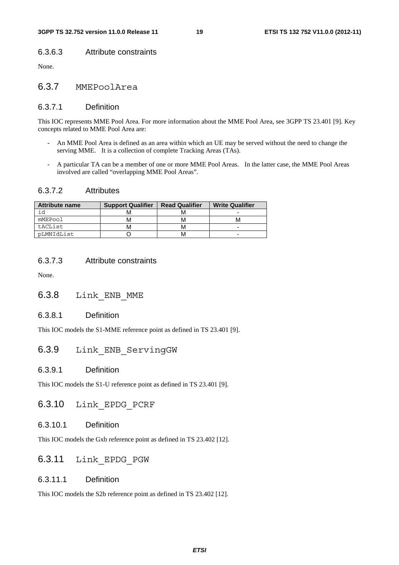#### 6.3.6.3 Attribute constraints

None.

#### 6.3.7 MMEPoolArea

#### 6.3.7.1 Definition

This IOC represents MME Pool Area. For more information about the MME Pool Area, see 3GPP TS 23.401 [9]. Key concepts related to MME Pool Area are:

- An MME Pool Area is defined as an area within which an UE may be served without the need to change the serving MME. It is a collection of complete Tracking Areas (TAs).
- A particular TA can be a member of one or more MME Pool Areas. In the latter case, the MME Pool Areas involved are called "overlapping MME Pool Areas".

#### 6.3.7.2 Attributes

| <b>Attribute name</b> | <b>Support Qualifier</b> | <b>Read Qualifier</b> | <b>Write Qualifier</b> |
|-----------------------|--------------------------|-----------------------|------------------------|
|                       |                          |                       | -                      |
| mMEPool               |                          |                       |                        |
| tACList               | М                        |                       | -                      |
| pLMNIdList            |                          |                       | -                      |

#### 6.3.7.3 Attribute constraints

None.

#### 6.3.8 Link\_ENB\_MME

#### 6.3.8.1 Definition

This IOC models the S1-MME reference point as defined in TS 23.401 [9].

#### 6.3.9 Link\_ENB\_ServingGW

#### 6.3.9.1 Definition

This IOC models the S1-U reference point as defined in TS 23.401 [9].

#### 6.3.10 Link\_EPDG\_PCRF

#### 6.3.10.1 Definition

This IOC models the Gxb reference point as defined in TS 23.402 [12].

#### 6.3.11 Link\_EPDG\_PGW

#### 6.3.11.1 Definition

This IOC models the S2b reference point as defined in TS 23.402 [12].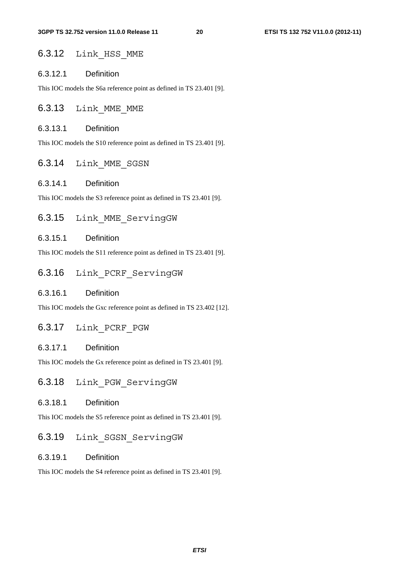#### 6.3.12 Link HSS MME

#### 6.3.12.1 Definition

This IOC models the S6a reference point as defined in TS 23.401 [9].

#### 6.3.13 Link\_MME\_MME

#### 6.3.13.1 Definition

This IOC models the S10 reference point as defined in TS 23.401 [9].

#### 6.3.14 Link\_MME\_SGSN

#### 6.3.14.1 Definition

This IOC models the S3 reference point as defined in TS 23.401 [9].

#### 6.3.15 Link MME ServingGW

#### 6.3.15.1 Definition

This IOC models the S11 reference point as defined in TS 23.401 [9].

#### 6.3.16 Link PCRF ServingGW

#### 6.3.16.1 Definition

This IOC models the Gxc reference point as defined in TS 23.402 [12].

#### 6.3.17 Link\_PCRF\_PGW

#### 6.3.17.1 Definition

This IOC models the Gx reference point as defined in TS 23.401 [9].

#### 6.3.18 Link\_PGW\_ServingGW

#### 6.3.18.1 Definition

This IOC models the S5 reference point as defined in TS 23.401 [9].

#### 6.3.19 Link SGSN ServingGW

#### 6.3.19.1 Definition

This IOC models the S4 reference point as defined in TS 23.401 [9].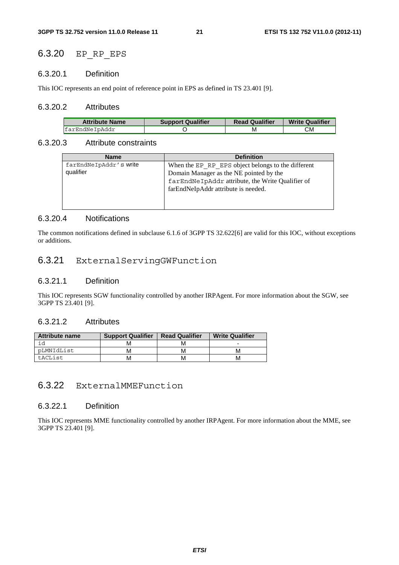#### 6.3.20 EP RP EPS

#### 6.3.20.1 Definition

This IOC represents an end point of reference point in EPS as defined in TS 23.401 [9].

#### 6.3.20.2 Attributes

| <b>Attribute Name</b> | <b>Support Qualifier</b> | <b>Read Qualifier</b> | <b>Write Qualifier</b> |
|-----------------------|--------------------------|-----------------------|------------------------|
| <i>EarEndNeIpAddr</i> |                          |                       | СM                     |

#### 6.3.20.3 Attribute constraints

| <b>Name</b>            | <b>Definition</b>                                  |
|------------------------|----------------------------------------------------|
| farEndNeIpAddr's write | When the EP RP EPS object belongs to the different |
| qualifier              | Domain Manager as the NE pointed by the            |
|                        | farEndNeIpAddr attribute, the Write Qualifier of   |
|                        | farEndNeIpAddr attribute is needed.                |
|                        |                                                    |
|                        |                                                    |

#### 6.3.20.4 Notifications

The common notifications defined in subclause 6.1.6 of 3GPP TS 32.622[6] are valid for this IOC, without exceptions or additions.

#### 6.3.21 ExternalServingGWFunction

#### 6.3.21.1 Definition

This IOC represents SGW functionality controlled by another IRPAgent. For more information about the SGW, see 3GPP TS 23.401 [9].

#### 6.3.21.2 Attributes

| <b>Attribute name</b> | <b>Support Qualifier</b> | <b>Read Qualifier</b> | <b>Write Qualifier</b> |
|-----------------------|--------------------------|-----------------------|------------------------|
|                       |                          |                       |                        |
| pLMNIdList            | м                        | M                     |                        |
| tACList               | м                        | м                     | M                      |

#### 6.3.22 ExternalMMEFunction

#### 6.3.22.1 Definition

This IOC represents MME functionality controlled by another IRPAgent. For more information about the MME, see 3GPP TS 23.401 [9].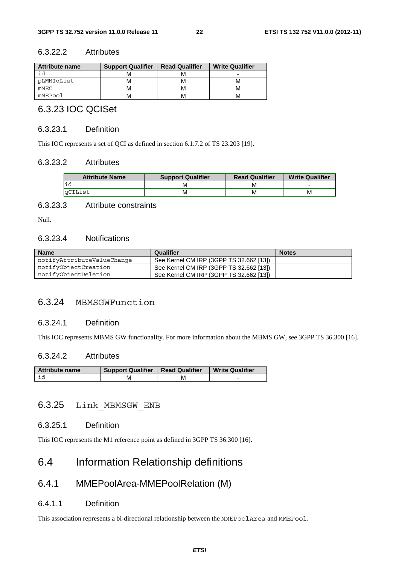#### 6.3.22.2 Attributes

| Attribute name | <b>Support Qualifier</b> | <b>Read Qualifier</b> | <b>Write Qualifier</b> |
|----------------|--------------------------|-----------------------|------------------------|
| ιd             |                          |                       | -                      |
| pLMNIdList     | M                        |                       |                        |
| mMEC           | м                        |                       |                        |
| mMEPool        | м                        |                       | M                      |

### 6.3.23 IOC QCISet

#### 6.3.23.1 Definition

This IOC represents a set of QCI as defined in section 6.1.7.2 of TS 23.203 [19].

#### 6.3.23.2 Attributes

| <b>Attribute Name</b> | <b>Support Qualifier</b> | <b>Read Qualifier</b> | <b>Write Qualifier</b> |  |
|-----------------------|--------------------------|-----------------------|------------------------|--|
|                       |                          |                       | -                      |  |
| aCIList               | M                        | M                     | M                      |  |

#### 6.3.23.3 Attribute constraints

Null.

#### 6.3.23.4 Notifications

| <b>Name</b>                | Qualifier                               | <b>Notes</b> |
|----------------------------|-----------------------------------------|--------------|
| notifyAttributeValueChange | See Kernel CM IRP (3GPP TS 32.662 [13]) |              |
| notifyObjectCreation       | See Kernel CM IRP (3GPP TS 32.662 [13]) |              |
| notifyObjectDeletion       | See Kernel CM IRP (3GPP TS 32.662 [13]) |              |

#### 6.3.24 MBMSGWFunction

#### 6.3.24.1 Definition

This IOC represents MBMS GW functionality. For more information about the MBMS GW, see 3GPP TS 36.300 [16].

#### 6.3.24.2 Attributes

| <b>Attribute name</b> | Support Qualifier   Read Qualifier |    | <b>Write Qualifier</b> |  |
|-----------------------|------------------------------------|----|------------------------|--|
|                       | IV.                                | IV |                        |  |

#### 6.3.25 Link MBMSGW ENB

6.3.25.1 Definition

This IOC represents the M1 reference point as defined in 3GPP TS 36.300 [16].

### 6.4 Information Relationship definitions

#### 6.4.1 MMEPoolArea-MMEPoolRelation (M)

#### 6.4.1.1 Definition

This association represents a bi-directional relationship between the MMEPoolArea and MMEPool.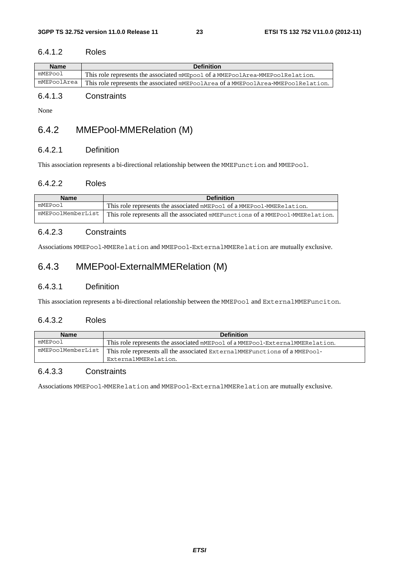#### 6.4.1.2 Roles

| <b>Name</b> | <b>Definition</b>                                                                 |
|-------------|-----------------------------------------------------------------------------------|
| mMEPool     | This role represents the associated mMEpool of a MMEPoolArea-MMEPoolRelation.     |
| mMEPoolArea | This role represents the associated mMEPoolArea of a MMEPoolArea-MMEPoolRelation. |

#### 6.4.1.3 Constraints

None

#### 6.4.2 MMEPool-MMERelation (M)

#### 6.4.2.1 Definition

This association represents a bi-directional relationship between the MMEFunction and MMEPool.

#### 6.4.2.2 Roles

| <b>Name</b>       | <b>Definition</b>                                                              |
|-------------------|--------------------------------------------------------------------------------|
| mMEPool           | This role represents the associated mMEPool of a MMEPool-MMERelation.          |
| mMEPoolMemberList | This role represents all the associated mMEFunctions of a MMEPool-MMERelation. |

#### 6.4.2.3 Constraints

Associations MMEPool-MMERelation and MMEPool-ExternalMMERelation are mutually exclusive.

#### 6.4.3 MMEPool-ExternalMMERelation (M)

#### 6.4.3.1 Definition

This association represents a bi-directional relationship between the MMEPool and ExternalMMEFunciton.

#### 6.4.3.2 Roles

| <b>Name</b> | <b>Definition</b>                                                                                                      |
|-------------|------------------------------------------------------------------------------------------------------------------------|
| mMEPool     | This role represents the associated mMEPool of a MMEPool-ExternalMMERelation.                                          |
|             | mMEPoolMemberList   This role represents all the associated ExternalMMEFunctions of a MMEPool-<br>ExternalMMERelation. |

#### 6.4.3.3 Constraints

Associations MMEPool-MMERelation and MMEPool-ExternalMMERelation are mutually exclusive.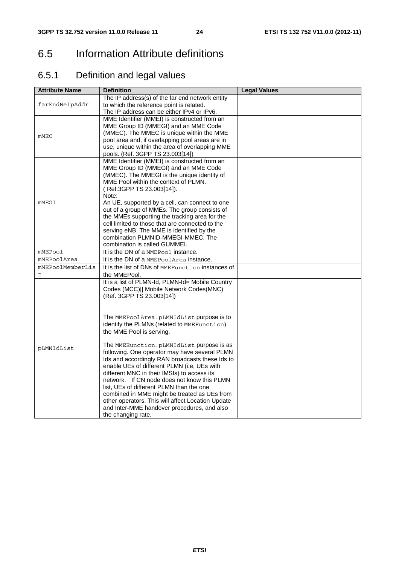### 6.5 Information Attribute definitions

### 6.5.1 Definition and legal values

| <b>Attribute Name</b> | <b>Definition</b>                                 | <b>Legal Values</b> |
|-----------------------|---------------------------------------------------|---------------------|
|                       | The IP address(s) of the far end network entity   |                     |
| farEndNeIpAddr        | to which the reference point is related.          |                     |
|                       | The IP address can be either IPv4 or IPv6.        |                     |
|                       | MME Identifier (MMEI) is constructed from an      |                     |
|                       | MME Group ID (MMEGI) and an MME Code              |                     |
| mMEC                  | (MMEC). The MMEC is unique within the MME         |                     |
|                       | pool area and, if overlapping pool areas are in   |                     |
|                       | use, unique within the area of overlapping MME    |                     |
|                       | pools. (Ref. 3GPP TS 23.003[14])                  |                     |
|                       | MME Identifier (MMEI) is constructed from an      |                     |
|                       | MME Group ID (MMEGI) and an MME Code              |                     |
|                       | (MMEC). The MMEGI is the unique identity of       |                     |
|                       | MME Pool within the context of PLMN.              |                     |
|                       | (Ref.3GPP TS 23.003[14]).                         |                     |
|                       | Note:                                             |                     |
| mMEGI                 | An UE, supported by a cell, can connect to one    |                     |
|                       | out of a group of MMEs. The group consists of     |                     |
|                       | the MMEs supporting the tracking area for the     |                     |
|                       | cell limited to those that are connected to the   |                     |
|                       | serving eNB. The MME is identified by the         |                     |
|                       | combination PLMNID-MMEGI-MMEC. The                |                     |
|                       | combination is called GUMMEI.                     |                     |
| <b>mMEPool</b>        | It is the DN of a MMEPool instance.               |                     |
| mMEPoolArea           | It is the DN of a MMEPoolArea instance.           |                     |
| mMEPoolMemberLis      | It is the list of DNs of MMEFunction instances of |                     |
| t                     | the MMEPool.                                      |                     |
|                       | It is a list of PLMN-Id, PLMN-Id= Mobile Country  |                     |
|                       | Codes (MCC)   Mobile Network Codes(MNC)           |                     |
|                       | (Ref. 3GPP TS 23.003[14])                         |                     |
|                       |                                                   |                     |
|                       | The MMEPoolArea.pLMNIdList purpose is to          |                     |
|                       | identify the PLMNs (related to MMEFunction)       |                     |
|                       | the MME Pool is serving.                          |                     |
|                       |                                                   |                     |
|                       | The MMEEunction.pLMNIdList purpose is as          |                     |
| pLMNIdList            | following. One operator may have several PLMN     |                     |
|                       | Ids and accordingly RAN broadcasts these Ids to   |                     |
|                       | enable UEs of different PLMN (i.e, UEs with       |                     |
|                       | different MNC in their IMSIs) to access its       |                     |
|                       | network. If CN node does not know this PLMN       |                     |
|                       | list, UEs of different PLMN than the one          |                     |
|                       | combined in MME might be treated as UEs from      |                     |
|                       | other operators. This will affect Location Update |                     |
|                       | and Inter-MME handover procedures, and also       |                     |
|                       | the changing rate.                                |                     |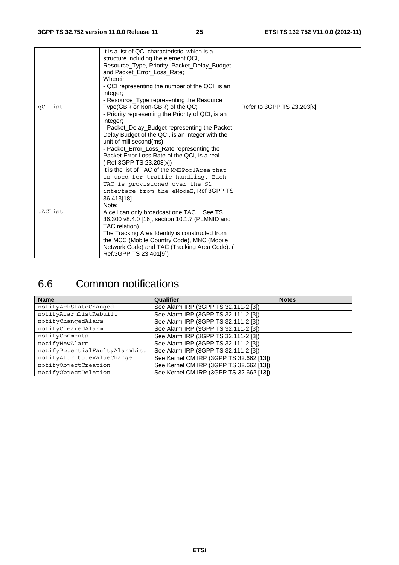| qCIList | It is a list of QCI characteristic, which is a<br>structure including the element QCI,<br>Resource_Type, Priority, Packet_Delay_Budget<br>and Packet Error Loss Rate;<br>Wherein<br>- QCI representing the number of the QCI, is an<br>integer;<br>- Resource_Type representing the Resource<br>Type(GBR or Non-GBR) of the QC;<br>- Priority representing the Priority of QCI, is an<br>integer;<br>- Packet_Delay_Budget representing the Packet<br>Delay Budget of the QCI, is an integer with the<br>unit of millisecond(ms);<br>- Packet_Error_Loss_Rate representing the<br>Packet Error Loss Rate of the QCI, is a real.<br>Ref.3GPP TS 23.203[x]) | Refer to 3GPP TS 23.203[x] |
|---------|-----------------------------------------------------------------------------------------------------------------------------------------------------------------------------------------------------------------------------------------------------------------------------------------------------------------------------------------------------------------------------------------------------------------------------------------------------------------------------------------------------------------------------------------------------------------------------------------------------------------------------------------------------------|----------------------------|
| tACList | It is the list of TAC of the MMEPoolArea that<br>is used for traffic handling. Each<br>TAC is provisioned over the S1<br>interface from the eNodeB, Ref 3GPP TS<br>36.413[18].<br>Note:<br>A cell can only broadcast one TAC. See TS<br>36.300 v8.4.0 [16], section 10.1.7 (PLMNID and<br>TAC relation).<br>The Tracking Area Identity is constructed from<br>the MCC (Mobile Country Code), MNC (Mobile<br>Network Code) and TAC (Tracking Area Code). (<br>Ref.3GPP TS 23.401[9])                                                                                                                                                                       |                            |

### 6.6 Common notifications

| <b>Name</b>                    | Qualifier                               | <b>Notes</b> |
|--------------------------------|-----------------------------------------|--------------|
| notifyAckStateChanged          | See Alarm IRP (3GPP TS 32.111-2 [3])    |              |
| notifyAlarmListRebuilt         | See Alarm IRP (3GPP TS 32.111-2 [3])    |              |
| notifyChangedAlarm             | See Alarm IRP (3GPP TS 32.111-2 [3])    |              |
| notifyClearedAlarm             | See Alarm IRP (3GPP TS 32.111-2 [3])    |              |
| notifyComments                 | See Alarm IRP (3GPP TS 32.111-2 [3])    |              |
| notifyNewAlarm                 | See Alarm IRP (3GPP TS 32.111-2 [3])    |              |
| notifyPotentialFaultyAlarmList | See Alarm IRP (3GPP TS 32.111-2 [3])    |              |
| notifyAttributeValueChange     | See Kernel CM IRP (3GPP TS 32.662 [13]) |              |
| notifyObjectCreation           | See Kernel CM IRP (3GPP TS 32.662 [13]) |              |
| notifyObjectDeletion           | See Kernel CM IRP (3GPP TS 32.662 [13]) |              |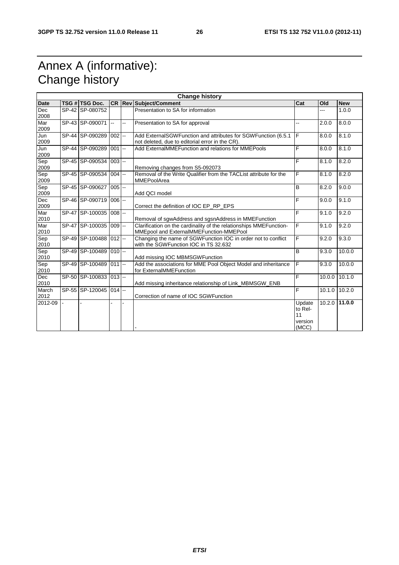### Annex A (informative): Change history

|                    | <b>Change history</b> |                        |           |                |                                                                                                                  |                                             |        |            |
|--------------------|-----------------------|------------------------|-----------|----------------|------------------------------------------------------------------------------------------------------------------|---------------------------------------------|--------|------------|
| <b>Date</b>        |                       | TSG # TSG Doc.         |           |                | <b>CR Rev Subject/Comment</b>                                                                                    | Cat                                         | Old    | <b>New</b> |
| Dec<br>2008        |                       | SP-42 SP-080752        |           |                | Presentation to SA for information                                                                               |                                             | ---    | 1.0.0      |
| Mar<br>2009        |                       | SP-43 SP-090071        | --        | --             | Presentation to SA for approval                                                                                  | --                                          | 2.0.0  | 8.0.0      |
| Jun<br>2009        |                       | SP-44 SP-090289        | $002 -$   |                | Add ExternalSGWFunction and attributes for SGWFunction (6.5.1<br>not deleted, due to editorial error in the CR). | F                                           | 8.0.0  | 8.1.0      |
| Jun<br>2009        |                       | SP-44 SP-090289        | $001 -$   |                | Add ExternalMMEFunction and relations for MMEPools                                                               | F                                           | 8.0.0  | 8.1.0      |
| Sep<br>2009        |                       | SP-45 SP-090534        | $003$ --  |                | Removing changes from S5-092073                                                                                  | F                                           | 8.1.0  | 8.2.0      |
| Sep<br>2009        |                       | SP-45 SP-090534        | $004 -$   |                | Removal of the Write Qualifier from the TACList attribute for the<br>MMEPoolArea                                 | F                                           | 8.1.0  | 8.2.0      |
| Sep<br>2009        |                       | SP-45 SP-090627        | $005$ --  |                | Add QCI model                                                                                                    | B                                           | 8.2.0  | 9.0.0      |
| <b>Dec</b><br>2009 |                       | SP-46 SP-090719        | $006$ --  |                | Correct the definition of IOC EP_RP_EPS                                                                          | F                                           | 9.0.0  | 9.1.0      |
| Mar<br>2010        |                       | SP-47 SP-100035        | $ 008  -$ |                | Removal of sgwAddress and sgsnAddress in MMEFunction                                                             | F                                           | 9.1.0  | 9.2.0      |
| Mar<br>2010        |                       | SP-47 SP-100035 009 -- |           |                | Clarification on the cardinality of the relationships MMEFunction-<br>MMEpool and ExternalMMEFunction-MMEPool    | F                                           | 9.1.0  | 9.2.0      |
| Sep<br>2010        |                       | SP-49 SP-100488 012 -- |           |                | Changing the name of SGWFunction IOC in order not to conflict<br>with the SGWFunction IOC in TS 32.632           | F                                           | 9.2.0  | 9.3.0      |
| Sep<br>2010        |                       | SP-49 SP-100489        | $ 010  -$ |                | Add missing IOC MBMSGWFunction                                                                                   | $\overline{B}$                              | 9.3.0  | 10.0.0     |
| Sep<br>2010        |                       | SP-49 SP-100489        | $011 -$   |                | Add the associations for MME Pool Object Model and inheritance<br>for ExternalMMEFunction                        | F                                           | 9.3.0  | 10.0.0     |
| Dec<br>2010        |                       | SP-50 SP-100833        | $ 013  -$ |                | Add missing inheritance relationship of Link_MBMSGW_ENB                                                          | F                                           | 10.0.0 | 10.1.0     |
| March<br>2012      |                       | SP-55 SP-120045 014    |           |                | Correction of name of IOC SGWFunction                                                                            | F                                           | 10.1.0 | 10.2.0     |
| 2012-09            |                       |                        |           | $\overline{a}$ |                                                                                                                  | Update<br>to Rel-<br>11<br>version<br>(MCC) | 10.2.0 | 11.0.0     |